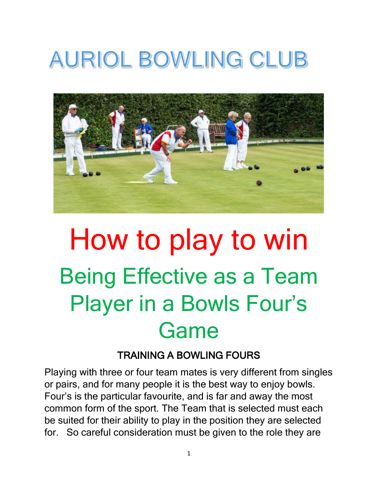## **AURIOL BOWLING CLUB**



# How to play to win Being Effective as a Team Player in a Bowls Four's Game

#### TRAINING A BOWLING FOURS

Playing with three or four team mates is very different from singles or pairs, and for many people it is the best way to enjoy bowls. Four's is the particular favourite, and is far and away the most common form of the sport. The Team that is selected must each be suited for their ability to play in the position they are selected for. So careful consideration must be given to the role they are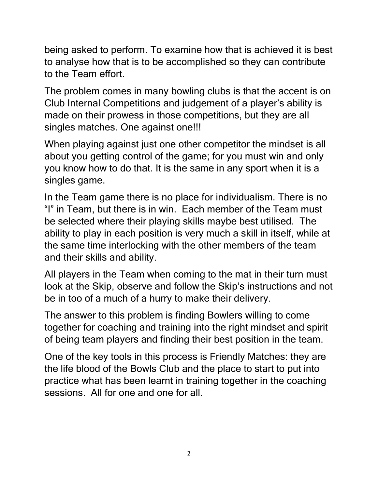being asked to perform. To examine how that is achieved it is best to analyse how that is to be accomplished so they can contribute to the Team effort.

The problem comes in many bowling clubs is that the accent is on Club Internal Competitions and judgement of a player's ability is made on their prowess in those competitions, but they are all singles matches. One against one!!!

When playing against just one other competitor the mindset is all about you getting control of the game; for you must win and only you know how to do that. It is the same in any sport when it is a singles game.

In the Team game there is no place for individualism. There is no "I" in Team, but there is in win. Each member of the Team must be selected where their playing skills maybe best utilised. The ability to play in each position is very much a skill in itself, while at the same time interlocking with the other members of the team and their skills and ability.

All players in the Team when coming to the mat in their turn must look at the Skip, observe and follow the Skip's instructions and not be in too of a much of a hurry to make their delivery.

The answer to this problem is finding Bowlers willing to come together for coaching and training into the right mindset and spirit of being team players and finding their best position in the team.

One of the key tools in this process is Friendly Matches: they are the life blood of the Bowls Club and the place to start to put into practice what has been learnt in training together in the coaching sessions. All for one and one for all.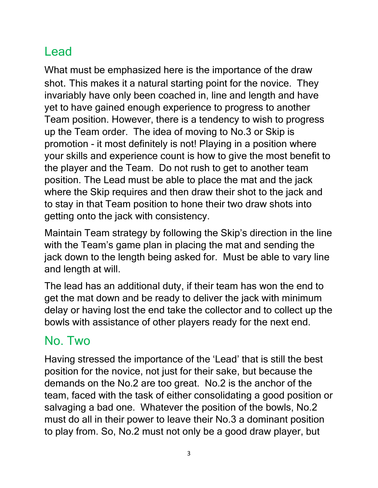## Lead

What must be emphasized here is the importance of the draw shot. This makes it a natural starting point for the novice. They invariably have only been coached in, line and length and have yet to have gained enough experience to progress to another Team position. However, there is a tendency to wish to progress up the Team order. The idea of moving to No.3 or Skip is promotion - it most definitely is not! Playing in a position where your skills and experience count is how to give the most benefit to the player and the Team. Do not rush to get to another team position. The Lead must be able to place the mat and the jack where the Skip requires and then draw their shot to the jack and to stay in that Team position to hone their two draw shots into getting onto the jack with consistency.

Maintain Team strategy by following the Skip's direction in the line with the Team's game plan in placing the mat and sending the jack down to the length being asked for. Must be able to vary line and length at will.

The lead has an additional duty, if their team has won the end to get the mat down and be ready to deliver the jack with minimum delay or having lost the end take the collector and to collect up the bowls with assistance of other players ready for the next end.

#### No. Two

Having stressed the importance of the 'Lead' that is still the best position for the novice, not just for their sake, but because the demands on the No.2 are too great. No.2 is the anchor of the team, faced with the task of either consolidating a good position or salvaging a bad one. Whatever the position of the bowls, No.2 must do all in their power to leave their No.3 a dominant position to play from. So, No.2 must not only be a good draw player, but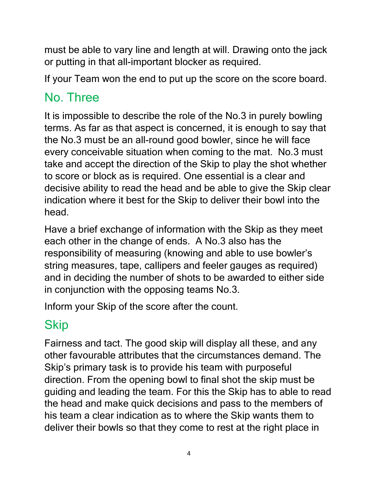must be able to vary line and length at will. Drawing onto the jack or putting in that all-important blocker as required.

If your Team won the end to put up the score on the score board.

### No. Three

It is impossible to describe the role of the No.3 in purely bowling terms. As far as that aspect is concerned, it is enough to say that the No.3 must be an all-round good bowler, since he will face every conceivable situation when coming to the mat. No.3 must take and accept the direction of the Skip to play the shot whether to score or block as is required. One essential is a clear and decisive ability to read the head and be able to give the Skip clear indication where it best for the Skip to deliver their bowl into the head.

Have a brief exchange of information with the Skip as they meet each other in the change of ends. A No.3 also has the responsibility of measuring (knowing and able to use bowler's string measures, tape, callipers and feeler gauges as required) and in deciding the number of shots to be awarded to either side in conjunction with the opposing teams No.3.

Inform your Skip of the score after the count.

## Skip

Fairness and tact. The good skip will display all these, and any other favourable attributes that the circumstances demand. The Skip's primary task is to provide his team with purposeful direction. From the opening bowl to final shot the skip must be guiding and leading the team. For this the Skip has to able to read the head and make quick decisions and pass to the members of his team a clear indication as to where the Skip wants them to deliver their bowls so that they come to rest at the right place in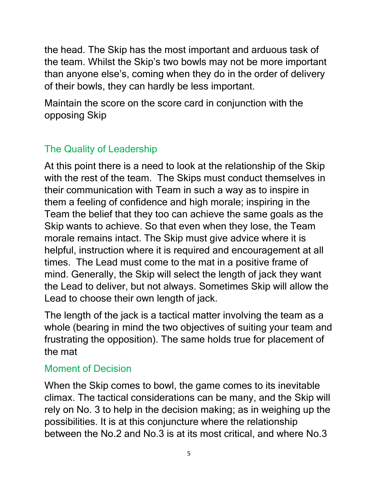the head. The Skip has the most important and arduous task of the team. Whilst the Skip's two bowls may not be more important than anyone else's, coming when they do in the order of delivery of their bowls, they can hardly be less important.

Maintain the score on the score card in conjunction with the opposing Skip

#### The Quality of Leadership

At this point there is a need to look at the relationship of the Skip with the rest of the team. The Skips must conduct themselves in their communication with Team in such a way as to inspire in them a feeling of confidence and high morale; inspiring in the Team the belief that they too can achieve the same goals as the Skip wants to achieve. So that even when they lose, the Team morale remains intact. The Skip must give advice where it is helpful, instruction where it is required and encouragement at all times. The Lead must come to the mat in a positive frame of mind. Generally, the Skip will select the length of jack they want the Lead to deliver, but not always. Sometimes Skip will allow the Lead to choose their own length of jack.

The length of the jack is a tactical matter involving the team as a whole (bearing in mind the two objectives of suiting your team and frustrating the opposition). The same holds true for placement of the mat

#### Moment of Decision

When the Skip comes to bowl, the game comes to its inevitable climax. The tactical considerations can be many, and the Skip will rely on No. 3 to help in the decision making; as in weighing up the possibilities. It is at this conjuncture where the relationship between the No.2 and No.3 is at its most critical, and where No.3